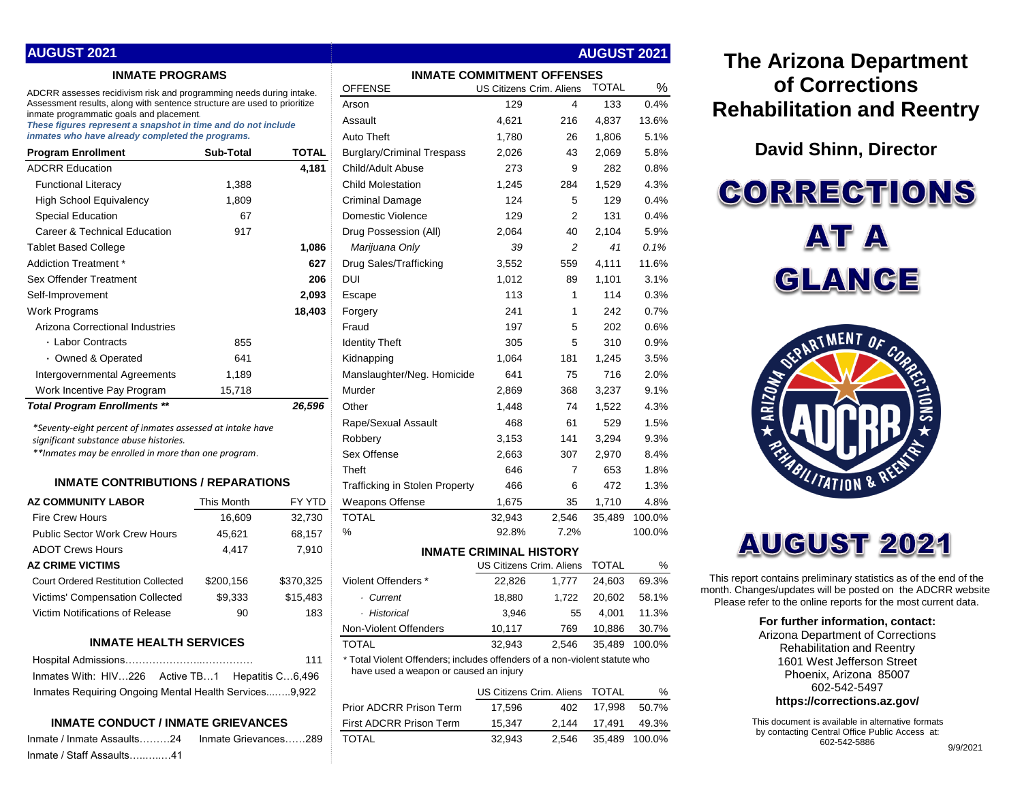| <b>AUGUST 2021</b>                                                                                        |                                   |        |                                   | <b>AUGUST 2021</b>              |     |              |       |
|-----------------------------------------------------------------------------------------------------------|-----------------------------------|--------|-----------------------------------|---------------------------------|-----|--------------|-------|
| <b>INMATE PROGRAMS</b>                                                                                    | <b>INMATE COMMITMENT OFFENSES</b> |        |                                   |                                 |     |              |       |
| ADCRR assesses recidivism risk and programming needs during intake.                                       |                                   |        | <b>OFFENSE</b>                    | <b>US Citizens Crim. Aliens</b> |     | <b>TOTAL</b> | $\%$  |
| Assessment results, along with sentence structure are used to prioritize                                  |                                   |        | Arson                             | 129                             | 4   | 133          | 0.4%  |
| inmate programmatic goals and placement.<br>These figures represent a snapshot in time and do not include |                                   |        | Assault                           | 4,621                           | 216 | 4.837        | 13.6% |
| inmates who have already completed the programs.                                                          |                                   |        | Auto Theft                        | 1,780                           | 26  | 1,806        | 5.1%  |
| <b>Program Enrollment</b>                                                                                 | <b>Sub-Total</b>                  | TOTAL  | <b>Burglary/Criminal Trespass</b> | 2,026                           | 43  | 2,069        | 5.8%  |
| <b>ADCRR Education</b>                                                                                    |                                   | 4,181  | Child/Adult Abuse                 | 273                             | 9   | 282          | 0.8%  |
| <b>Functional Literacy</b>                                                                                | 1,388                             |        | <b>Child Molestation</b>          | 1,245                           | 284 | 1,529        | 4.3%  |
| <b>High School Equivalency</b>                                                                            | 1,809                             |        | Criminal Damage                   | 124                             | 5   | 129          | 0.4%  |
| <b>Special Education</b>                                                                                  | 67                                |        | Domestic Violence                 | 129                             | 2   | 131          | 0.4%  |
| Career & Technical Education                                                                              | 917                               |        | Drug Possession (All)             | 2,064                           | 40  | 2,104        | 5.9%  |
| <b>Tablet Based College</b>                                                                               |                                   | 1,086  | Marijuana Only                    | 39                              | 2   | 41           | 0.1%  |
| Addiction Treatment *                                                                                     |                                   | 627    | Drug Sales/Trafficking            | 3,552                           | 559 | 4,111        | 11.6% |
| Sex Offender Treatment                                                                                    |                                   | 206    | DUI                               | 1,012                           | 89  | 1,101        | 3.1%  |
| Self-Improvement                                                                                          |                                   | 2,093  | Escape                            | 113                             |     | 114          | 0.3%  |
| Work Programs                                                                                             |                                   | 18,403 | Forgery                           | 241                             |     | 242          | 0.7%  |
| Arizona Correctional Industries                                                                           |                                   |        | Fraud                             | 197                             | 5   | 202          | 0.6%  |
| • Labor Contracts                                                                                         | 855                               |        | <b>Identity Theft</b>             | 305                             | 5   | 310          | 0.9%  |
| • Owned & Operated                                                                                        | 641                               |        | Kidnapping                        | 1,064                           | 181 | 1,245        | 3.5%  |
| Intergovernmental Agreements                                                                              | 1,189                             |        | Manslaughter/Neg. Homicide        | 641                             | 75  | 716          | 2.0%  |
| Work Incentive Pay Program                                                                                | 15,718                            |        | Murder                            | 2,869                           | 368 | 3,237        | 9.1%  |

## **INMATE CONTRIBUTIONS / REPARATIONS**

| <b>This Month</b> | FY YTD    |
|-------------------|-----------|
| 16.609            | 32,730    |
| 45,621            | 68,157    |
| 4,417             | 7,910     |
|                   |           |
| \$200,156         | \$370,325 |
| \$9,333           | \$15,483  |
| 90                | 183       |
|                   |           |

## **INMATE HEALTH SERVICES**

|                                                       | 111 |
|-------------------------------------------------------|-----|
| Inmates With: HIV226 Active TB1 Hepatitis C6,496      |     |
| Inmates Requiring Ongoing Mental Health Services9.922 |     |

## **INMATE CONDUCT / INMATE GRIEVANCES**

| Inmate / Inmate Assaults………24 | Inmate Grievances289 |
|-------------------------------|----------------------|
| Inmate / Staff Assaults41     |                      |

| <b>AUGUST 2021</b>                                                                                                                                            | <b>AUGUST 2021</b>                |                  |                                                                            |                                |                |              |               |
|---------------------------------------------------------------------------------------------------------------------------------------------------------------|-----------------------------------|------------------|----------------------------------------------------------------------------|--------------------------------|----------------|--------------|---------------|
| <b>INMATE PROGRAMS</b>                                                                                                                                        | <b>INMATE COMMITMENT OFFENSES</b> |                  |                                                                            |                                |                |              |               |
| ADCRR assesses recidivism risk and programming needs during intake.                                                                                           |                                   |                  | <b>OFFENSE</b>                                                             | US Citizens Crim. Aliens       |                | <b>TOTAL</b> | %             |
| Assessment results, along with sentence structure are used to prioritize                                                                                      |                                   |                  | Arson                                                                      | 129                            | 4              | 133          | 0.4%          |
| inmate programmatic goals and placement.<br>These figures represent a snapshot in time and do not include<br>inmates who have already completed the programs. |                                   |                  | Assault                                                                    | 4,621                          | 216            | 4,837        | 13.6%         |
|                                                                                                                                                               |                                   |                  | <b>Auto Theft</b>                                                          | 1,780                          | 26             | 1,806        | 5.1%          |
| <b>Program Enrollment</b>                                                                                                                                     | Sub-Total                         | <b>TOTAL</b>     | <b>Burglary/Criminal Trespass</b>                                          | 2,026                          | 43             | 2,069        | 5.8%          |
| <b>ADCRR Education</b>                                                                                                                                        |                                   | 4,181            | Child/Adult Abuse                                                          | 273                            | 9              | 282          | 0.8%          |
| <b>Functional Literacy</b>                                                                                                                                    | 1,388                             |                  | <b>Child Molestation</b>                                                   | 1,245                          | 284            | 1,529        | 4.3%          |
| <b>High School Equivalency</b>                                                                                                                                | 1,809                             |                  | <b>Criminal Damage</b>                                                     | 124                            | 5              | 129          | 0.4%          |
| <b>Special Education</b>                                                                                                                                      | 67                                |                  | Domestic Violence                                                          | 129                            | $\overline{2}$ | 131          | 0.4%          |
| Career & Technical Education                                                                                                                                  | 917                               |                  | Drug Possession (All)                                                      | 2,064                          | 40             | 2,104        | 5.9%          |
| Tablet Based College                                                                                                                                          |                                   | 1,086            | Marijuana Only                                                             | 39                             | 2              | 41           | 0.1%          |
| Addiction Treatment *                                                                                                                                         |                                   | 627              | Drug Sales/Trafficking                                                     | 3,552                          | 559            | 4,111        | 11.6%         |
| Sex Offender Treatment                                                                                                                                        |                                   | 206              | <b>DUI</b>                                                                 | 1,012                          | 89             | 1,101        | 3.1%          |
| Self-Improvement                                                                                                                                              |                                   | 2,093            | Escape                                                                     | 113                            | 1              | 114          | 0.3%          |
| Work Programs                                                                                                                                                 |                                   | 18,403           | Forgery                                                                    | 241                            | 1              | 242          | 0.7%          |
| Arizona Correctional Industries                                                                                                                               |                                   |                  | Fraud                                                                      | 197                            | 5              | 202          | 0.6%          |
| · Labor Contracts                                                                                                                                             | 855                               |                  | <b>Identity Theft</b>                                                      | 305                            | 5              | 310          | 0.9%          |
| · Owned & Operated                                                                                                                                            | 641                               |                  | Kidnapping                                                                 | 1,064                          | 181            | 1,245        | 3.5%          |
| Intergovernmental Agreements                                                                                                                                  | 1,189                             |                  | Manslaughter/Neg. Homicide                                                 | 641                            | 75             | 716          | 2.0%          |
| Work Incentive Pay Program                                                                                                                                    | 15,718                            |                  | Murder                                                                     | 2,869                          | 368            | 3,237        | 9.1%          |
| <b>Total Program Enrollments **</b>                                                                                                                           |                                   | 26,596           | Other                                                                      | 1,448                          | 74             | 1,522        | 4.3%          |
| *Seventy-eight percent of inmates assessed at intake have                                                                                                     |                                   |                  | Rape/Sexual Assault                                                        | 468                            | 61             | 529          | 1.5%          |
| significant substance abuse histories.<br>**Inmates may be enrolled in more than one program.                                                                 |                                   |                  | Robbery                                                                    | 3,153                          | 141            | 3,294        | 9.3%          |
|                                                                                                                                                               |                                   |                  | Sex Offense                                                                | 2,663                          | 307            | 2,970        | 8.4%          |
|                                                                                                                                                               |                                   |                  | Theft                                                                      | 646                            | 7              | 653          | 1.8%          |
| <b>INMATE CONTRIBUTIONS / REPARATIONS</b>                                                                                                                     |                                   |                  | Trafficking in Stolen Property                                             | 466                            | 6              | 472          | 1.3%          |
| <b>AZ COMMUNITY LABOR</b>                                                                                                                                     | This Month                        | FY YTD           | Weapons Offense                                                            | 1,675                          | 35             | 1,710        | 4.8%          |
| <b>Fire Crew Hours</b>                                                                                                                                        | 16,609                            | 32,730           | <b>TOTAL</b>                                                               | 32,943                         | 2,546          | 35,489       | 100.0%        |
| <b>Public Sector Work Crew Hours</b>                                                                                                                          | 45,621                            | 68,157           | %                                                                          | 92.8%                          | 7.2%           |              | 100.0%        |
| <b>ADOT Crews Hours</b>                                                                                                                                       | 4,417                             | 7,910            |                                                                            | <b>INMATE CRIMINAL HISTORY</b> |                |              |               |
| AZ CRIME VICTIMS                                                                                                                                              |                                   |                  |                                                                            | US Citizens Crim. Aliens       |                | <b>TOTAL</b> | %             |
| <b>Court Ordered Restitution Collected</b>                                                                                                                    | \$200,156                         | \$370,325        | Violent Offenders *                                                        | 22,826                         | 1,777          | 24,603       | 69.3%         |
| Victims' Compensation Collected                                                                                                                               | \$9,333                           | \$15,483         | · Current                                                                  | 18,880                         | 1,722          | 20,602       | 58.1%         |
| Victim Notifications of Release                                                                                                                               | 90                                | 183              | · Historical                                                               | 3,946                          | 55             | 4,001        | 11.3%         |
|                                                                                                                                                               |                                   |                  | Non-Violent Offenders                                                      | 10,117                         | 769            | 10,886       | 30.7%         |
| <b>INMATE HEALTH SERVICES</b>                                                                                                                                 |                                   |                  | <b>TOTAL</b>                                                               | 32,943                         | 2,546          |              | 35,489 100.0% |
|                                                                                                                                                               |                                   | 111              | * Total Violent Offenders; includes offenders of a non-violent statute who |                                |                |              |               |
| Inmates With: HIV226 Active TB1                                                                                                                               |                                   | Hepatitis C6,496 | have used a weapon or caused an injury                                     |                                |                |              |               |
| Inmates Requiring Ongoing Mental Health Services9,922                                                                                                         |                                   |                  |                                                                            | US Citizens Crim. Aliens       |                | <b>TOTAL</b> | %             |
|                                                                                                                                                               | Prior ADCRR Prison Term           | 17,596           | 402                                                                        | 17,998                         | 50.7%          |              |               |
| <b>INMATE CONDUCT / INMATE GRIEVANCES</b>                                                                                                                     | First ADCRR Prison Term           | 15,347           | 2,144                                                                      | 17,491                         | 49.3%          |              |               |
| Inmate / Inmate Assaults24    Inmate Grievances289                                                                                                            | <b>TOTAL</b>                      | 32,943           | 2,546                                                                      |                                | 35,489 100.0%  |              |               |

## **The Arizona Department of Corrections Rehabilitation and Reentry**

**David Shinn, Director**

**CORRECTIONS** AT A GLANCE



# **AUGUST 2021**

This report contains preliminary statistics as of the end of the month. Changes/updates will be posted on the ADCRR website. Please refer to the online reports for the most current data.

## **For further information, contact:**

Arizona Department of Corrections Rehabilitation and Reentry 1601 West Jefferson Street Phoenix, Arizona 85007 602-542-5497

**https://corrections.az.gov/**

This document is available in alternative formats by contacting Central Office Public Access at: 602-542-5886